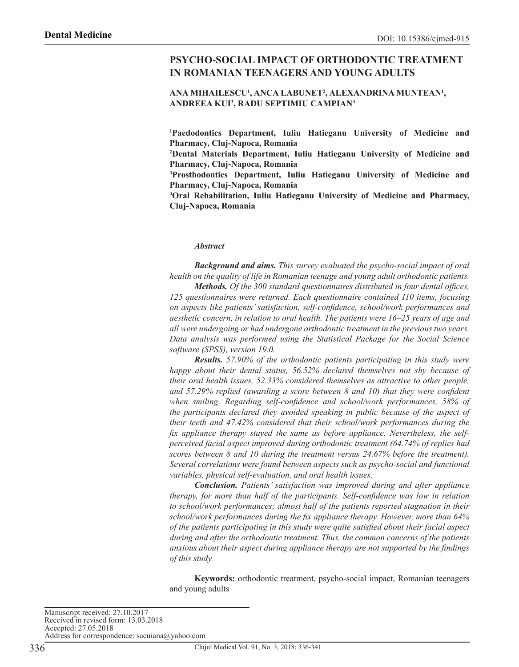# **PSYCHO-SOCIAL IMPACT OF ORTHODONTIC TREATMENT IN ROMANIAN TEENAGERS AND YOUNG ADULTS**

#### **ANA MIHAILESCU1 , ANCA LABUNET2 , ALEXANDRINA MUNTEAN1 , ANDREEA KUI3 , RADU SEPTIMIU CAMPIAN4**

**1 Paedodontics Department, Iuliu Hatieganu University of Medicine and Pharmacy, Cluj-Napoca, Romania**

**2 Dental Materials Department, Iuliu Hatieganu University of Medicine and Pharmacy, Cluj-Napoca, Romania**

**3 Prosthodontics Department, Iuliu Hatieganu University of Medicine and Pharmacy, Cluj-Napoca, Romania**

**4 Oral Rehabilitation, Iuliu Hatieganu University of Medicine and Pharmacy, Cluj-Napoca, Romania**

#### *Abstract*

*Background and aims. This survey evaluated the psycho-social impact of oral health on the quality of life in Romanian teenage and young adult orthodontic patients.*

*Methods. Of the 300 standard questionnaires distributed in four dental offices, 125 questionnaires were returned. Each questionnaire contained 110 items, focusing on aspects like patients' satisfaction, self-confidence, school/work performances and aesthetic concern, in relation to oral health. The patients were 16–25 years of age and all were undergoing or had undergone orthodontic treatment in the previous two years. Data analysis was performed using the Statistical Package for the Social Science software (SPSS), version 19.0.*

*Results. 57.90% of the orthodontic patients participating in this study were happy about their dental status, 56.52% declared themselves not shy because of their oral health issues, 52.33% considered themselves as attractive to other people, and 57.29% replied (awarding a score between 8 and 10) that they were confident when smiling. Regarding self-confidence and school/work performances, 58% of the participants declared they avoided speaking in public because of the aspect of their teeth and 47.42% considered that their school/work performances during the fix appliance therapy stayed the same as before appliance. Nevertheless, the selfperceived facial aspect improved during orthodontic treatment (64.74% of replies had scores between 8 and 10 during the treatment versus 24.67% before the treatment). Several correlations were found between aspects such as psycho-social and functional variables, physical self-evaluation, and oral health issues.*

*Conclusion. Patients' satisfaction was improved during and after appliance therapy, for more than half of the participants. Self-confidence was low in relation to school/work performances; almost half of the patients reported stagnation in their school/work performances during the fix appliance therapy. However, more than 64% of the patients participating in this study were quite satisfied about their facial aspect during and after the orthodontic treatment. Thus, the common concerns of the patients anxious about their aspect during appliance therapy are not supported by the findings of this study.*

**Keywords:** orthodontic treatment, psycho-social impact, Romanian teenagers and young adults

Manuscript received: 27.10.2017 Received in revised form: 13.03.2018 Accepted: 27.05.2018 Address for correspondence: sacuiana@yahoo.com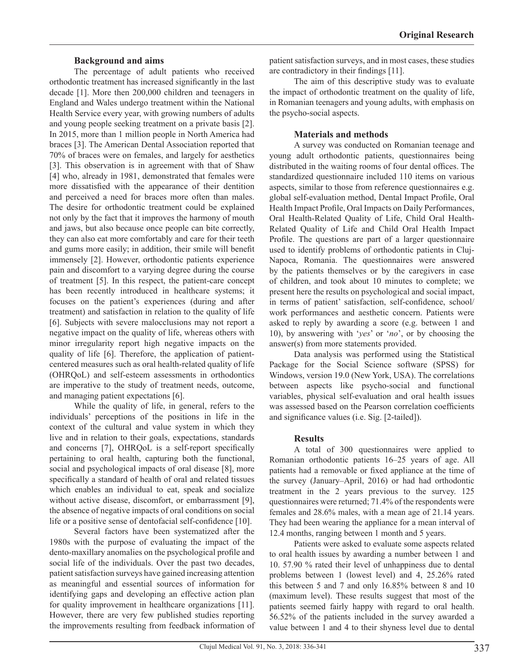## **Background and aims**

The percentage of adult patients who received orthodontic treatment has increased significantly in the last decade [1]. More then 200,000 children and teenagers in England and Wales undergo treatment within the National Health Service every year, with growing numbers of adults and young people seeking treatment on a private basis [2]. In 2015, more than 1 million people in North America had braces [3]. The American Dental Association reported that 70% of braces were on females, and largely for aesthetics [3]. This observation is in agreement with that of Shaw [4] who, already in 1981, demonstrated that females were more dissatisfied with the appearance of their dentition and perceived a need for braces more often than males. The desire for orthodontic treatment could be explained not only by the fact that it improves the harmony of mouth and jaws, but also because once people can bite correctly, they can also eat more comfortably and care for their teeth and gums more easily; in addition, their smile will benefit immensely [2]. However, orthodontic patients experience pain and discomfort to a varying degree during the course of treatment [5]. In this respect, the patient-care concept has been recently introduced in healthcare systems; it focuses on the patient's experiences (during and after treatment) and satisfaction in relation to the quality of life [6]. Subjects with severe malocclusions may not report a negative impact on the quality of life, whereas others with minor irregularity report high negative impacts on the quality of life [6]. Therefore, the application of patientcentered measures such as oral health-related quality of life (OHRQoL) and self-esteem assessments in orthodontics are imperative to the study of treatment needs, outcome, and managing patient expectations [6].

While the quality of life, in general, refers to the individuals' perceptions of the positions in life in the context of the cultural and value system in which they live and in relation to their goals, expectations, standards and concerns [7], OHRQoL is a self-report specifically pertaining to oral health, capturing both the functional, social and psychological impacts of oral disease [8], more specifically a standard of health of oral and related tissues which enables an individual to eat, speak and socialize without active disease, discomfort, or embarrassment [9], the absence of negative impacts of oral conditions on social life or a positive sense of dentofacial self-confidence [10].

Several factors have been systematized after the 1980s with the purpose of evaluating the impact of the dento-maxillary anomalies on the psychological profile and social life of the individuals. Over the past two decades, patient satisfaction surveys have gained increasing attention as meaningful and essential sources of information for identifying gaps and developing an effective action plan for quality improvement in healthcare organizations [11]. However, there are very few published studies reporting the improvements resulting from feedback information of patient satisfaction surveys, and in most cases, these studies are contradictory in their findings [11].

The aim of this descriptive study was to evaluate the impact of orthodontic treatment on the quality of life, in Romanian teenagers and young adults, with emphasis on the psycho-social aspects.

## **Materials and methods**

A survey was conducted on Romanian teenage and young adult orthodontic patients, questionnaires being distributed in the waiting rooms of four dental offices. The standardized questionnaire included 110 items on various aspects, similar to those from reference questionnaires e.g. global self-evaluation method, Dental Impact Profile, Oral Health Impact Profile, Oral Impacts on Daily Performances, Oral Health-Related Quality of Life, Child Oral Health-Related Quality of Life and Child Oral Health Impact Profile. The questions are part of a larger questionnaire used to identify problems of orthodontic patients in Cluj-Napoca, Romania. The questionnaires were answered by the patients themselves or by the caregivers in case of children, and took about 10 minutes to complete; we present here the results on psychological and social impact, in terms of patient' satisfaction, self-confidence, school/ work performances and aesthetic concern. Patients were asked to reply by awarding a score (e.g. between 1 and 10), by answering with '*yes*' or '*no*', or by choosing the answer(s) from more statements provided.

Data analysis was performed using the Statistical Package for the Social Science software (SPSS) for Windows, version 19.0 (New York, USA). The correlations between aspects like psycho-social and functional variables, physical self-evaluation and oral health issues was assessed based on the Pearson correlation coefficients and significance values (i.e. Sig. [2-tailed]).

# **Results**

A total of 300 questionnaires were applied to Romanian orthodontic patients 16–25 years of age. All patients had a removable or fixed appliance at the time of the survey (January–April, 2016) or had had orthodontic treatment in the 2 years previous to the survey. 125 questionnaires were returned; 71.4% of the respondents were females and 28.6% males, with a mean age of 21.14 years. They had been wearing the appliance for a mean interval of 12.4 months, ranging between 1 month and 5 years.

Patients were asked to evaluate some aspects related to oral health issues by awarding a number between 1 and 10. 57.90 % rated their level of unhappiness due to dental problems between 1 (lowest level) and 4, 25.26% rated this between 5 and 7 and only 16.85% between 8 and 10 (maximum level). These results suggest that most of the patients seemed fairly happy with regard to oral health. 56.52% of the patients included in the survey awarded a value between 1 and 4 to their shyness level due to dental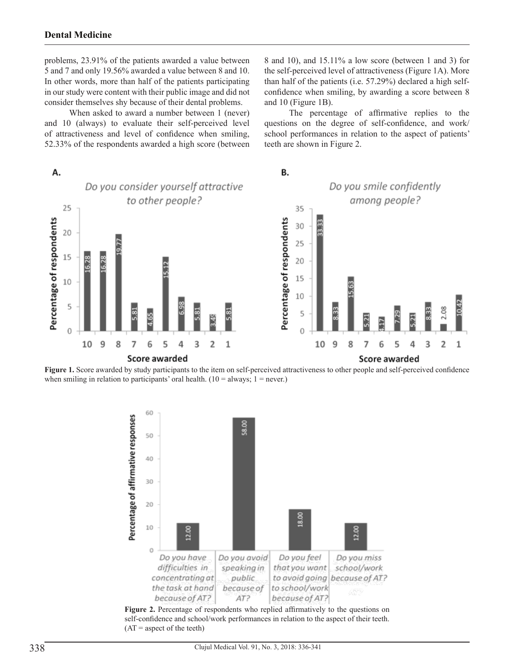problems, 23.91% of the patients awarded a value between 5 and 7 and only 19.56% awarded a value between 8 and 10. In other words, more than half of the patients participating in our study were content with their public image and did not consider themselves shy because of their dental problems.

When asked to award a number between 1 (never) and 10 (always) to evaluate their self-perceived level of attractiveness and level of confidence when smiling, 52.33% of the respondents awarded a high score (between 8 and 10), and 15.11% a low score (between 1 and 3) for the self-perceived level of attractiveness (Figure 1A). More than half of the patients (i.e. 57.29%) declared a high selfconfidence when smiling, by awarding a score between 8 and 10 (Figure 1B).

The percentage of affirmative replies to the questions on the degree of self-confidence, and work/ school performances in relation to the aspect of patients' teeth are shown in Figure 2.



Figure 1. Score awarded by study participants to the item on self-perceived attractiveness to other people and self-perceived confidence when smiling in relation to participants' oral health.  $(10 = \text{always}; 1 = \text{never.})$ 



self-confidence and school/work performances in relation to the aspect of their teeth.  $(AT =$  aspect of the teeth)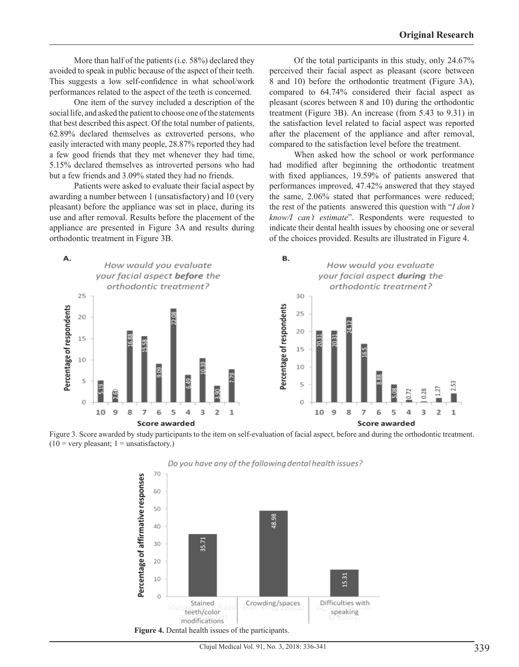More than half of the patients (i.e. 58%) declared they avoided to speak in public because of the aspect of their teeth. This suggests a low self-confidence in what school/work performances related to the aspect of the teeth is concerned.

One item of the survey included a description of the social life, and asked the patient to choose one of the statements that best described this aspect. Of the total number of patients, 62.89% declared themselves as extroverted persons, who easily interacted with many people, 28.87% reported they had a few good friends that they met whenever they had time, 5.15% declared themselves as introverted persons who had but a few friends and 3.09% stated they had no friends.

Patients were asked to evaluate their facial aspect by awarding a number between 1 (unsatisfactory) and 10 (very pleasant) before the appliance was set in place, during its use and after removal. Results before the placement of the appliance are presented in Figure 3A and results during orthodontic treatment in Figure 3B.

Of the total participants in this study, only 24.67% perceived their facial aspect as pleasant (score between 8 and 10) before the orthodontic treatment (Figure 3A), compared to 64.74% considered their facial aspect as pleasant (scores between 8 and 10) during the orthodontic treatment (Figure 3B). An increase (from 5.43 to 9.31) in the satisfaction level related to facial aspect was reported after the placement of the appliance and after removal, compared to the satisfaction level before the treatment.

When asked how the school or work performance had modified after beginning the orthodontic treatment with fixed appliances, 19.59% of patients answered that performances improved, 47.42% answered that they stayed the same, 2.06% stated that performances were reduced; the rest of the patients answered this question with "*I don't know/I can't estimate*". Respondents were requested to indicate their dental health issues by choosing one or several of the choices provided. Results are illustrated in Figure 4.







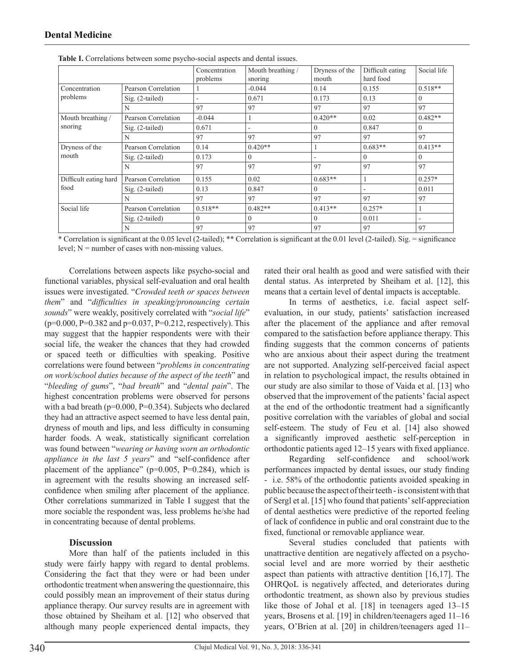|                               |                     | Concentration<br>problems | Mouth breathing /<br>snoring | Dryness of the<br>mouth | Difficult eating<br>hard food | Social life |
|-------------------------------|---------------------|---------------------------|------------------------------|-------------------------|-------------------------------|-------------|
| Concentration<br>problems     | Pearson Correlation |                           | $-0.044$                     | 0.14                    | 0.155                         | $0.518**$   |
|                               | $Sig. (2-tailed)$   | ۰                         | 0.671                        | 0.173                   | 0.13                          | $\theta$    |
|                               | N                   | 97                        | 97                           | 97                      | 97                            | 97          |
| Mouth breathing /<br>snoring  | Pearson Correlation | $-0.044$                  | 1                            | $0.420**$               | 0.02                          | $0.482**$   |
|                               | Sig. (2-tailed)     | 0.671                     | ۰                            | $\theta$                | 0.847                         | $\Omega$    |
|                               | N                   | 97                        | 97                           | 97                      | 97                            | 97          |
| Dryness of the<br>mouth       | Pearson Correlation | 0.14                      | $0.420**$                    |                         | $0.683**$                     | $0.413**$   |
|                               | $Sig. (2-tailed)$   | 0.173                     | $\mathbf{0}$                 |                         | $\mathbf{0}$                  | $\Omega$    |
|                               | N                   | 97                        | 97                           | 97                      | 97                            | 97          |
| Difficult eating hard<br>food | Pearson Correlation | 0.155                     | 0.02                         | $0.683**$               |                               | $0.257*$    |
|                               | $Sig. (2-tailed)$   | 0.13                      | 0.847                        | $\theta$                | -                             | 0.011       |
|                               | N                   | 97                        | 97                           | 97                      | 97                            | 97          |
| Social life                   | Pearson Correlation | $0.518**$                 | $0.482**$                    | $0.413**$               | $0.257*$                      |             |
|                               | $Sig. (2-tailed)$   | $\Omega$                  | $\Omega$                     | $\theta$                | 0.011                         | ٠           |
|                               | N                   | 97                        | 97                           | 97                      | 97                            | 97          |

**Table I.** Correlations between some psycho-social aspects and dental issues.

\* Correlation is significant at the 0.05 level (2-tailed); \*\* Correlation is significant at the 0.01 level (2-tailed). Sig. = significance level;  $N =$  number of cases with non-missing values.

Correlations between aspects like psycho-social and functional variables, physical self-evaluation and oral health issues were investigated. "*Crowded teeth or spaces between them*" and "*difficulties in speaking/pronouncing certain sounds*" were weakly, positively correlated with "*social life*" (p=0.000, P=0.382 and p=0.037, P=0.212, respectively). This may suggest that the happier respondents were with their social life, the weaker the chances that they had crowded or spaced teeth or difficulties with speaking. Positive correlations were found between "*problems in concentrating on work/school duties because of the aspect of the teeth*" and "*bleeding of gums*", "*bad breath*" and "*dental pain*". The highest concentration problems were observed for persons with a bad breath (p=0.000, P=0.354). Subjects who declared they had an attractive aspect seemed to have less dental pain, dryness of mouth and lips, and less difficulty in consuming harder foods. A weak, statistically significant correlation was found between "*wearing or having worn an orthodontic appliance in the last 5 years*" and "self-confidence after placement of the appliance" ( $p=0.005$ ,  $P=0.284$ ), which is in agreement with the results showing an increased selfconfidence when smiling after placement of the appliance. Other correlations summarized in Table I suggest that the more sociable the respondent was, less problems he/she had in concentrating because of dental problems.

#### **Discussion**

More than half of the patients included in this study were fairly happy with regard to dental problems. Considering the fact that they were or had been under orthodontic treatment when answering the questionnaire, this could possibly mean an improvement of their status during appliance therapy. Our survey results are in agreement with those obtained by Sheiham et al. [12] who observed that although many people experienced dental impacts, they

rated their oral health as good and were satisfied with their dental status. As interpreted by Sheiham et al. [12], this means that a certain level of dental impacts is acceptable.

In terms of aesthetics, i.e. facial aspect selfevaluation, in our study, patients' satisfaction increased after the placement of the appliance and after removal compared to the satisfaction before appliance therapy. This finding suggests that the common concerns of patients who are anxious about their aspect during the treatment are not supported. Analyzing self-perceived facial aspect in relation to psychological impact, the results obtained in our study are also similar to those of Vaida et al. [13] who observed that the improvement of the patients' facial aspect at the end of the orthodontic treatment had a significantly positive correlation with the variables of global and social self-esteem. The study of Feu et al. [14] also showed a significantly improved aesthetic self-perception in orthodontic patients aged 12–15 years with fixed appliance.

Regarding self-confidence and school/work performances impacted by dental issues, our study finding - i.e. 58% of the orthodontic patients avoided speaking in public because the aspect of their teeth - is consistent with that of Sergl et al. [15] who found that patients' self-appreciation of dental aesthetics were predictive of the reported feeling of lack of confidence in public and oral constraint due to the fixed, functional or removable appliance wear.

Several studies concluded that patients with unattractive dentition are negatively affected on a psychosocial level and are more worried by their aesthetic aspect than patients with attractive dentition [16,17]. The OHRQoL is negatively affected, and deteriorates during orthodontic treatment, as shown also by previous studies like those of Johal et al. [18] in teenagers aged 13-15 years, Brosens et al. [19] in children/teenagers aged 11–16 years, O'Brien at al. [20] in children/teenagers aged 11–